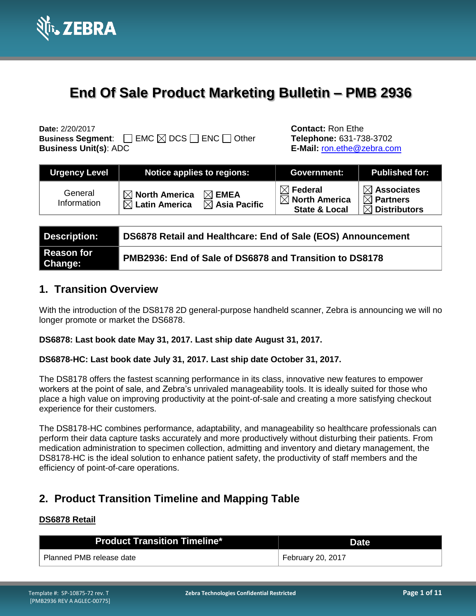

# **End Of Sale Product Marketing Bulletin – PMB 2936**

**Business Segment:**  $□$  EMC  $□$  DCS  $□$  ENC  $□$  Other **Telephone:** 631-738-3702 **Business Unit(s)**: ADC **E-Mail:** [ron.ethe@zebra.com](mailto:ron.ethe@zebra.com)

**Date:** 2/20/2017 **Contact:** Ron Ethe

| <b>Urgency Level</b>   | Notice applies to regions:                                                                             | <b>Government:</b>                                                           | <b>Published for:</b>                                                      |
|------------------------|--------------------------------------------------------------------------------------------------------|------------------------------------------------------------------------------|----------------------------------------------------------------------------|
| General<br>Information | $\boxtimes$ North America<br>$\boxtimes$ EMEA<br>$\boxtimes$ Latin America<br>$\boxtimes$ Asia Pacific | $\boxtimes$ Federal<br>$\boxtimes$ North America<br><b>State &amp; Local</b> | $\boxtimes$ Associates<br>$\boxtimes$ Partners<br>$\boxtimes$ Distributors |

| Description:          | DS6878 Retail and Healthcare: End of Sale (EOS) Announcement |
|-----------------------|--------------------------------------------------------------|
| Reason for<br>Change: | PMB2936: End of Sale of DS6878 and Transition to DS8178      |

# **1. Transition Overview**

With the introduction of the DS8178 2D general-purpose handheld scanner, Zebra is announcing we will no longer promote or market the DS6878.

### **DS6878: Last book date May 31, 2017. Last ship date August 31, 2017.**

### **DS6878-HC: Last book date July 31, 2017. Last ship date October 31, 2017.**

The DS8178 offers the fastest scanning performance in its class, innovative new features to empower workers at the point of sale, and Zebra's unrivaled manageability tools. It is ideally suited for those who place a high value on improving productivity at the point-of-sale and creating a more satisfying checkout experience for their customers.

The DS8178-HC combines performance, adaptability, and manageability so healthcare professionals can perform their data capture tasks accurately and more productively without disturbing their patients. From medication administration to specimen collection, admitting and inventory and dietary management, the DS8178-HC is the ideal solution to enhance patient safety, the productivity of staff members and the efficiency of point-of-care operations.

# **2. Product Transition Timeline and Mapping Table**

### **DS6878 Retail**

| <b>Product Transition Timeline*</b> | <b>Date</b>       |
|-------------------------------------|-------------------|
| Planned PMB release date            | February 20, 2017 |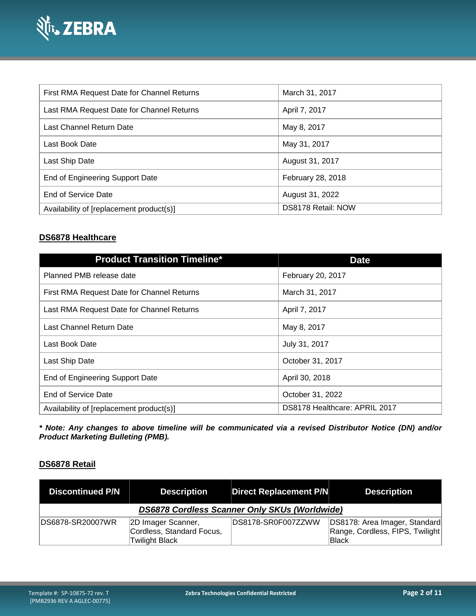

| First RMA Request Date for Channel Returns | March 31, 2017     |
|--------------------------------------------|--------------------|
| Last RMA Request Date for Channel Returns  | April 7, 2017      |
| Last Channel Return Date                   | May 8, 2017        |
| Last Book Date                             | May 31, 2017       |
| Last Ship Date                             | August 31, 2017    |
| End of Engineering Support Date            | February 28, 2018  |
| End of Service Date                        | August 31, 2022    |
| Availability of [replacement product(s)]   | DS8178 Retail: NOW |

# **DS6878 Healthcare**

| <b>Product Transition Timeline*</b>        | <b>Date</b>                   |
|--------------------------------------------|-------------------------------|
| Planned PMB release date                   | February 20, 2017             |
| First RMA Request Date for Channel Returns | March 31, 2017                |
| Last RMA Request Date for Channel Returns  | April 7, 2017                 |
| Last Channel Return Date                   | May 8, 2017                   |
| Last Book Date                             | July 31, 2017                 |
| Last Ship Date                             | October 31, 2017              |
| End of Engineering Support Date            | April 30, 2018                |
| End of Service Date                        | October 31, 2022              |
| Availability of [replacement product(s)]   | DS8178 Healthcare: APRIL 2017 |

*\* Note: Any changes to above timeline will be communicated via a revised Distributor Notice (DN) and/or Product Marketing Bulleting (PMB).*

### **DS6878 Retail**

| <b>Discontinued P/N</b>                       | <b>Description</b>                                                       | <b>Direct Replacement P/N</b> | <b>Description</b>                                                               |
|-----------------------------------------------|--------------------------------------------------------------------------|-------------------------------|----------------------------------------------------------------------------------|
| DS6878 Cordless Scanner Only SKUs (Worldwide) |                                                                          |                               |                                                                                  |
| DS6878-SR20007WR                              | 2D Imager Scanner,<br>Cordless, Standard Focus,<br><b>Twilight Black</b> | DS8178-SR0F007ZZWW            | DS8178: Area Imager, Standard<br>Range, Cordless, FIPS, Twilight<br><b>Black</b> |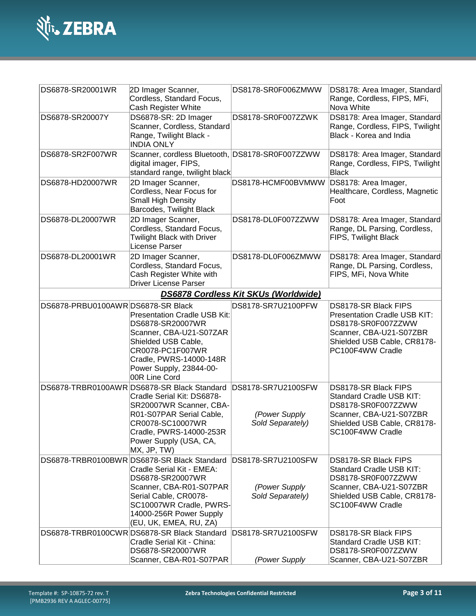

| DS6878-SR20001WR                  | 2D Imager Scanner,<br>Cordless, Standard Focus,<br>Cash Register White                                                                                                                                                           | DS8178-SR0F006ZMWW                                      | DS8178: Area Imager, Standard<br>Range, Cordless, FIPS, MFi,<br>Nova White                                                                               |
|-----------------------------------|----------------------------------------------------------------------------------------------------------------------------------------------------------------------------------------------------------------------------------|---------------------------------------------------------|----------------------------------------------------------------------------------------------------------------------------------------------------------|
| DS6878-SR20007Y                   | DS6878-SR: 2D Imager<br>Scanner, Cordless, Standard<br>Range, Twilight Black -<br><b>INDIA ONLY</b>                                                                                                                              | DS8178-SR0F007ZZWK                                      | DS8178: Area Imager, Standard<br>Range, Cordless, FIPS, Twilight<br>Black - Korea and India                                                              |
| DS6878-SR2F007WR                  | Scanner, cordless Bluetooth, DS8178-SR0F007ZZWW<br>digital imager, FIPS,<br>standard range, twilight black                                                                                                                       |                                                         | DS8178: Area Imager, Standard<br>Range, Cordless, FIPS, Twilight<br><b>Black</b>                                                                         |
| DS6878-HD20007WR                  | 2D Imager Scanner,<br>Cordless, Near Focus for<br>Small High Density<br>Barcodes, Twilight Black                                                                                                                                 | DS8178-HCMF00BVMWW                                      | DS8178: Area Imager,<br>Healthcare, Cordless, Magnetic<br>Foot                                                                                           |
| DS6878-DL20007WR                  | 2D Imager Scanner,<br>Cordless, Standard Focus,<br><b>Twilight Black with Driver</b><br>License Parser                                                                                                                           | DS8178-DL0F007ZZWW                                      | DS8178: Area Imager, Standard<br>Range, DL Parsing, Cordless,<br>FIPS, Twilight Black                                                                    |
| DS6878-DL20001WR                  | 2D Imager Scanner,<br>Cordless, Standard Focus,<br>Cash Register White with<br>Driver License Parser                                                                                                                             | DS8178-DL0F006ZMWW                                      | DS8178: Area Imager, Standard<br>Range, DL Parsing, Cordless,<br>FIPS, MFi, Nova White                                                                   |
|                                   |                                                                                                                                                                                                                                  | <b>DS6878 Cordless Kit SKUs (Worldwide)</b>             |                                                                                                                                                          |
| DS6878-PRBU0100AWRDS6878-SR Black | <b>Presentation Cradle USB Kit:</b><br>DS6878-SR20007WR<br>Scanner, CBA-U21-S07ZAR<br>Shielded USB Cable,<br>CR0078-PC1F007WR<br>Cradle, PWRS-14000-148R<br>Power Supply, 23844-00-<br>00R Line Cord                             | DS8178-SR7U2100PFW                                      | DS8178-SR Black FIPS<br>Presentation Cradle USB KIT:<br>DS8178-SR0F007ZZWW<br>Scanner, CBA-U21-S07ZBR<br>Shielded USB Cable, CR8178-<br>PC100F4WW Cradle |
|                                   | DS6878-TRBR0100AWR DS6878-SR Black Standard<br>Cradle Serial Kit: DS6878-<br>SR20007WR Scanner, CBA-<br>R01-S07PAR Serial Cable,<br>CR0078-SC10007WR<br>Cradle, PWRS-14000-253R<br>Power Supply (USA, CA,<br>MX, JP, TW)         | DS8178-SR7U2100SFW<br>(Power Supply<br>Sold Separately) | DS8178-SR Black FIPS<br>Standard Cradle USB KIT:<br>DS8178-SR0F007ZZWW<br>Scanner, CBA-U21-S07ZBR<br>Shielded USB Cable, CR8178-<br>SC100F4WW Cradle     |
|                                   | DS6878-TRBR0100BWR DS6878-SR Black Standard<br>Cradle Serial Kit - EMEA:<br>DS6878-SR20007WR<br>Scanner, CBA-R01-S07PAR<br>Serial Cable, CR0078-<br>SC10007WR Cradle, PWRS-<br>14000-256R Power Supply<br>(EU, UK, EMEA, RU, ZA) | DS8178-SR7U2100SFW<br>(Power Supply<br>Sold Separately) | DS8178-SR Black FIPS<br>Standard Cradle USB KIT:<br>DS8178-SR0F007ZZWW<br>Scanner, CBA-U21-S07ZBR<br>Shielded USB Cable, CR8178-<br>SC100F4WW Cradle     |
|                                   | DS6878-TRBR0100CWRDS6878-SR Black Standard<br>Cradle Serial Kit - China:<br>DS6878-SR20007WR<br>Scanner, CBA-R01-S07PAR                                                                                                          | DS8178-SR7U2100SFW<br>(Power Supply                     | DS8178-SR Black FIPS<br>Standard Cradle USB KIT:<br>DS8178-SR0F007ZZWW<br>Scanner, CBA-U21-S07ZBR                                                        |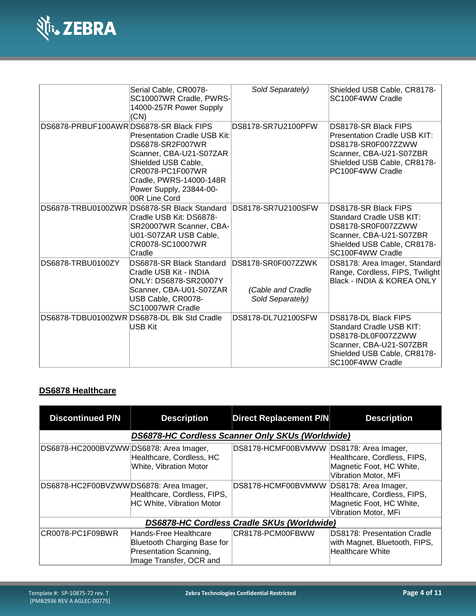

|                                        | Serial Cable, CR0078-<br>SC10007WR Cradle, PWRS-<br>14000-257R Power Supply<br>(CN)                                                                                                                  | Sold Separately)                                            | Shielded USB Cable, CR8178-<br>SC100F4WW Cradle                                                                                                                 |
|----------------------------------------|------------------------------------------------------------------------------------------------------------------------------------------------------------------------------------------------------|-------------------------------------------------------------|-----------------------------------------------------------------------------------------------------------------------------------------------------------------|
| DS6878-PRBUF100AWRDS6878-SR Black FIPS | <b>Presentation Cradle USB Kit:</b><br>DS6878-SR2F007WR<br>Scanner, CBA-U21-S07ZAR<br>Shielded USB Cable,<br>CR0078-PC1F007WR<br>Cradle, PWRS-14000-148R<br>Power Supply, 23844-00-<br>00R Line Cord | DS8178-SR7U2100PFW                                          | DS8178-SR Black FIPS<br><b>Presentation Cradle USB KIT:</b><br>DS8178-SR0F007ZZWW<br>Scanner, CBA-U21-S07ZBR<br>Shielded USB Cable, CR8178-<br>PC100F4WW Cradle |
|                                        | DS6878-TRBU0100ZWR DS6878-SR Black Standard<br>Cradle USB Kit: DS6878-<br>SR20007WR Scanner, CBA-<br>U01-S07ZAR USB Cable,<br>CR0078-SC10007WR<br>Cradle                                             | DS8178-SR7U2100SFW                                          | DS8178-SR Black FIPS<br>Standard Cradle USB KIT:<br>DS8178-SR0F007ZZWW<br>Scanner, CBA-U21-S07ZBR<br>Shielded USB Cable, CR8178-<br>SC100F4WW Cradle            |
| DS6878-TRBU0100ZY                      | DS6878-SR Black Standard<br>Cradle USB Kit - INDIA<br><b>ONLY: DS6878-SR20007Y</b><br>Scanner, CBA-U01-S07ZAR<br>USB Cable, CR0078-<br>SC10007WR Cradle                                              | DS8178-SR0F007ZZWK<br>(Cable and Cradle<br>Sold Separately) | DS8178: Area Imager, Standard<br>Range, Cordless, FIPS, Twilight<br>Black - INDIA & KOREA ONLY                                                                  |
|                                        | DS6878-TDBU0100ZWR DS6878-DL Blk Std Cradle<br>USB Kit                                                                                                                                               | DS8178-DL7U2100SFW                                          | DS8178-DL Black FIPS<br><b>Standard Cradle USB KIT:</b><br>DS8178-DL0F007ZZWW<br>Scanner, CBA-U21-S07ZBR<br>Shielded USB Cable, CR8178-<br>SC100F4WW Cradle     |

## **DS6878 Healthcare**

| <b>Discontinued P/N</b>                    | <b>Description</b>                                                                                        | <b>Direct Replacement P/N</b>           | <b>Description</b>                                                               |
|--------------------------------------------|-----------------------------------------------------------------------------------------------------------|-----------------------------------------|----------------------------------------------------------------------------------|
|                                            | DS6878-HC Cordless Scanner Only SKUs (Worldwide)                                                          |                                         |                                                                                  |
| DS6878-HC2000BVZWW DS6878: Area Imager,    | Healthcare, Cordless, HC<br>White, Vibration Motor                                                        | DS8178-HCMF00BVMWW DS8178: Area Imager, | Healthcare, Cordless, FIPS,<br>Magnetic Foot, HC White,<br>Vibration Motor, MFi  |
| DS6878-HC2F00BVZWWDS6878: Area Imager,     | Healthcare, Cordless, FIPS,<br><b>HC White, Vibration Motor</b>                                           | DS8178-HCMF00BVMWW DS8178: Area Imager, | Healthcare, Cordless, FIPS,<br>Magnetic Foot, HC White,<br>Vibration Motor, MFi  |
| DS6878-HC Cordless Cradle SKUs (Worldwide) |                                                                                                           |                                         |                                                                                  |
| CR0078-PC1F09BWR                           | Hands-Free Healthcare<br>Bluetooth Charging Base for<br>Presentation Scanning,<br>Image Transfer, OCR and | CR8178-PCM00FBWW                        | DS8178: Presentation Cradle<br>with Magnet, Bluetooth, FIPS,<br>Healthcare White |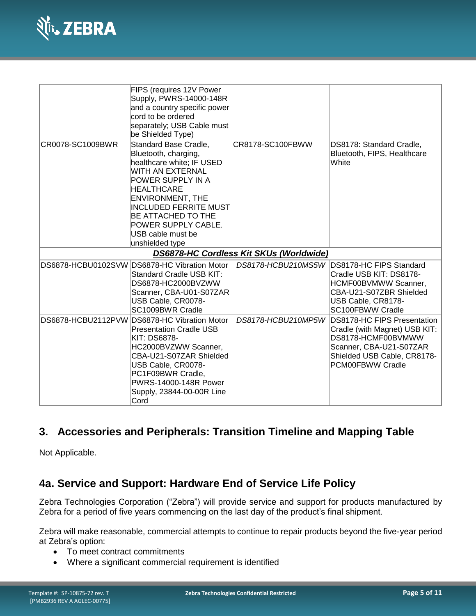

|                    | FIPS (requires 12V Power<br>Supply, PWRS-14000-148R<br>and a country specific power<br>cord to be ordered<br>separately; USB Cable must<br>be Shielded Type)                                                                                                                                    |                                         |                                                                                                                                                                  |
|--------------------|-------------------------------------------------------------------------------------------------------------------------------------------------------------------------------------------------------------------------------------------------------------------------------------------------|-----------------------------------------|------------------------------------------------------------------------------------------------------------------------------------------------------------------|
| CR0078-SC1009BWR   | Standard Base Cradle,<br>Bluetooth, charging,<br>healthcare white; IF USED<br>WITH AN EXTERNAL<br>POWER SUPPLY IN A<br><b>HEALTHCARE</b><br><b>ENVIRONMENT, THE</b><br><b>INCLUDED FERRITE MUST</b><br><b>BE ATTACHED TO THE</b><br>POWER SUPPLY CABLE.<br>USB cable must be<br>unshielded type | CR8178-SC100FBWW                        | DS8178: Standard Cradle,<br>Bluetooth, FIPS, Healthcare<br>White                                                                                                 |
|                    |                                                                                                                                                                                                                                                                                                 | DS6878-HC Cordless Kit SKUs (Worldwide) |                                                                                                                                                                  |
| DS6878-HCBU0102SVW | DS6878-HC Vibration Motor<br>Standard Cradle USB KIT:<br>DS6878-HC2000BVZWW<br>Scanner, CBA-U01-S07ZAR<br>USB Cable, CR0078-<br>SC1009BWR Cradle                                                                                                                                                | DS8178-HCBU210MS5W                      | DS8178-HC FIPS Standard<br>Cradle USB KIT: DS8178-<br>HCMF00BVMWW Scanner,<br>CBA-U21-S07ZBR Shielded<br>USB Cable, CR8178-<br>SC100FBWW Cradle                  |
|                    | DS6878-HCBU2112PVW DS6878-HC Vibration Motor<br><b>Presentation Cradle USB</b><br><b>KIT: DS6878-</b><br>HC2000BVZWW Scanner,<br>CBA-U21-S07ZAR Shielded<br>USB Cable, CR0078-<br>PC1F09BWR Cradle,<br>PWRS-14000-148R Power<br>Supply, 23844-00-00R Line<br>Cord                               | DS8178-HCBU210MP5W                      | DS8178-HC FIPS Presentation<br>Cradle (with Magnet) USB KIT:<br>DS8178-HCMF00BVMWW<br>Scanner, CBA-U21-S07ZAR<br>Shielded USB Cable, CR8178-<br>PCM00FBWW Cradle |

# **3. Accessories and Peripherals: Transition Timeline and Mapping Table**

Not Applicable.

# **4a. Service and Support: Hardware End of Service Life Policy**

Zebra Technologies Corporation ("Zebra") will provide service and support for products manufactured by Zebra for a period of five years commencing on the last day of the product's final shipment.

Zebra will make reasonable, commercial attempts to continue to repair products beyond the five-year period at Zebra's option:

- To meet contract commitments
- Where a significant commercial requirement is identified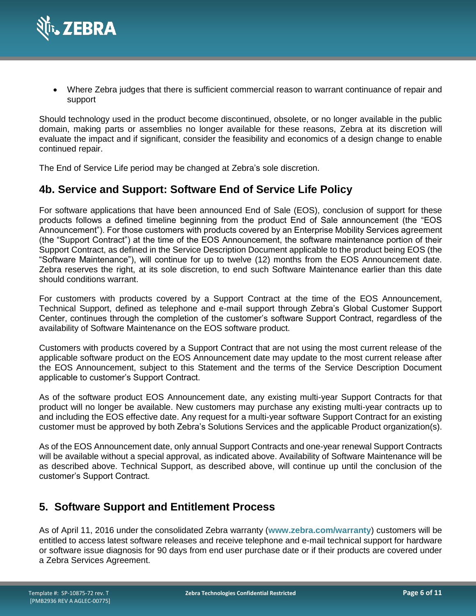

 Where Zebra judges that there is sufficient commercial reason to warrant continuance of repair and support

Should technology used in the product become discontinued, obsolete, or no longer available in the public domain, making parts or assemblies no longer available for these reasons, Zebra at its discretion will evaluate the impact and if significant, consider the feasibility and economics of a design change to enable continued repair.

The End of Service Life period may be changed at Zebra's sole discretion.

# **4b. Service and Support: Software End of Service Life Policy**

For software applications that have been announced End of Sale (EOS), conclusion of support for these products follows a defined timeline beginning from the product End of Sale announcement (the "EOS Announcement"). For those customers with products covered by an Enterprise Mobility Services agreement (the "Support Contract") at the time of the EOS Announcement, the software maintenance portion of their Support Contract, as defined in the Service Description Document applicable to the product being EOS (the "Software Maintenance"), will continue for up to twelve (12) months from the EOS Announcement date. Zebra reserves the right, at its sole discretion, to end such Software Maintenance earlier than this date should conditions warrant.

For customers with products covered by a Support Contract at the time of the EOS Announcement, Technical Support, defined as telephone and e-mail support through Zebra's Global Customer Support Center, continues through the completion of the customer's software Support Contract, regardless of the availability of Software Maintenance on the EOS software product.

Customers with products covered by a Support Contract that are not using the most current release of the applicable software product on the EOS Announcement date may update to the most current release after the EOS Announcement, subject to this Statement and the terms of the Service Description Document applicable to customer's Support Contract.

As of the software product EOS Announcement date, any existing multi-year Support Contracts for that product will no longer be available. New customers may purchase any existing multi-year contracts up to and including the EOS effective date. Any request for a multi-year software Support Contract for an existing customer must be approved by both Zebra's Solutions Services and the applicable Product organization(s).

As of the EOS Announcement date, only annual Support Contracts and one-year renewal Support Contracts will be available without a special approval, as indicated above. Availability of Software Maintenance will be as described above. Technical Support, as described above, will continue up until the conclusion of the customer's Support Contract.

# **5. Software Support and Entitlement Process**

As of April 11, 2016 under the consolidated Zebra warranty (**[www.zebra.com/warranty](http://www.zebra.com/warranty)**) customers will be entitled to access latest software releases and receive telephone and e-mail technical support for hardware or software issue diagnosis for 90 days from end user purchase date or if their products are covered under a Zebra Services Agreement.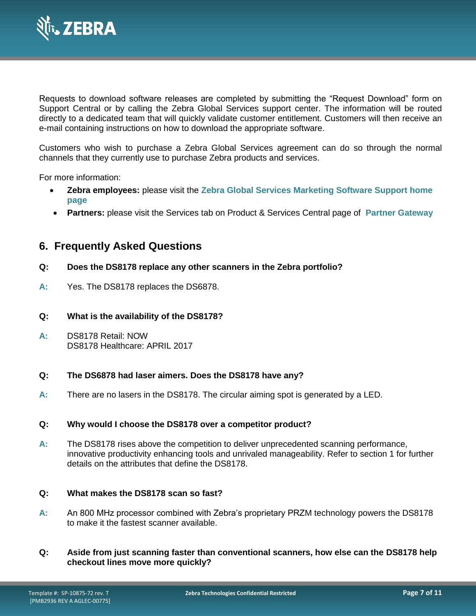

Requests to download software releases are completed by submitting the "Request Download" form on Support Central or by calling the Zebra Global Services support center. The information will be routed directly to a dedicated team that will quickly validate customer entitlement. Customers will then receive an e-mail containing instructions on how to download the appropriate software.

Customers who wish to purchase a Zebra Global Services agreement can do so through the normal channels that they currently use to purchase Zebra products and services.

For more information:

- **Zebra employees:** please visit the **[Zebra Global Services Marketing Software Support home](https://www.zebra.com/us/en/services.html)  [page](https://www.zebra.com/us/en/services.html)**
- **Partners:** please visit the Services tab on Product & Services Central page of **Partner [Gateway](https://partnerportal.zebra.com/PartnerPortal/index.aspx)**

# **6. Frequently Asked Questions**

### **Q: Does the DS8178 replace any other scanners in the Zebra portfolio?**

**A:** Yes. The DS8178 replaces the DS6878.

#### **Q: What is the availability of the DS8178?**

**A:** DS8178 Retail: NOW DS8178 Healthcare: APRIL 2017

#### **Q: The DS6878 had laser aimers. Does the DS8178 have any?**

**A:** There are no lasers in the DS8178. The circular aiming spot is generated by a LED.

#### **Q: Why would I choose the DS8178 over a competitor product?**

**A:** The DS8178 rises above the competition to deliver unprecedented scanning performance, innovative productivity enhancing tools and unrivaled manageability. Refer to section 1 for further details on the attributes that define the DS8178.

#### **Q: What makes the DS8178 scan so fast?**

- **A:** An 800 MHz processor combined with Zebra's proprietary PRZM technology powers the DS8178 to make it the fastest scanner available.
- **Q: Aside from just scanning faster than conventional scanners, how else can the DS8178 help checkout lines move more quickly?**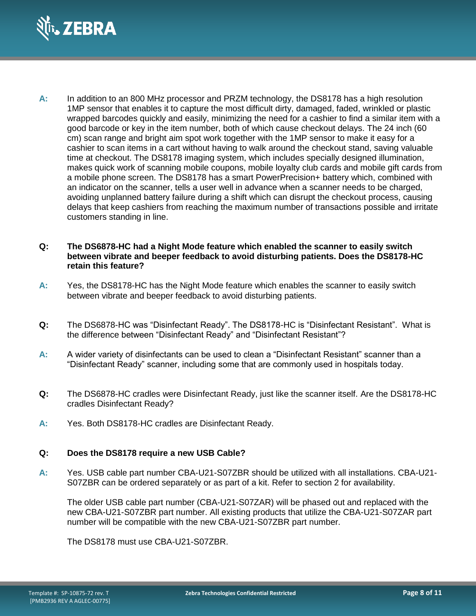

**A:** In addition to an 800 MHz processor and PRZM technology, the DS8178 has a high resolution 1MP sensor that enables it to capture the most difficult dirty, damaged, faded, wrinkled or plastic wrapped barcodes quickly and easily, minimizing the need for a cashier to find a similar item with a good barcode or key in the item number, both of which cause checkout delays. The 24 inch (60 cm) scan range and bright aim spot work together with the 1MP sensor to make it easy for a cashier to scan items in a cart without having to walk around the checkout stand, saving valuable time at checkout. The DS8178 imaging system, which includes specially designed illumination, makes quick work of scanning mobile coupons, mobile loyalty club cards and mobile gift cards from a mobile phone screen. The DS8178 has a smart PowerPrecision+ battery which, combined with an indicator on the scanner, tells a user well in advance when a scanner needs to be charged, avoiding unplanned battery failure during a shift which can disrupt the checkout process, causing delays that keep cashiers from reaching the maximum number of transactions possible and irritate customers standing in line.

#### **Q: The DS6878-HC had a Night Mode feature which enabled the scanner to easily switch between vibrate and beeper feedback to avoid disturbing patients. Does the DS8178-HC retain this feature?**

- **A:** Yes, the DS8178-HC has the Night Mode feature which enables the scanner to easily switch between vibrate and beeper feedback to avoid disturbing patients.
- **Q:** The DS6878-HC was "Disinfectant Ready". The DS8178-HC is "Disinfectant Resistant". What is the difference between "Disinfectant Ready" and "Disinfectant Resistant"?
- **A:** A wider variety of disinfectants can be used to clean a "Disinfectant Resistant" scanner than a "Disinfectant Ready" scanner, including some that are commonly used in hospitals today.
- **Q:** The DS6878-HC cradles were Disinfectant Ready, just like the scanner itself. Are the DS8178-HC cradles Disinfectant Ready?
- **A:** Yes. Both DS8178-HC cradles are Disinfectant Ready.

#### **Q: Does the DS8178 require a new USB Cable?**

**A:** Yes. USB cable part number CBA-U21-S07ZBR should be utilized with all installations. CBA-U21- S07ZBR can be ordered separately or as part of a kit. Refer to section 2 for availability.

The older USB cable part number (CBA-U21-S07ZAR) will be phased out and replaced with the new CBA-U21-S07ZBR part number. All existing products that utilize the CBA-U21-S07ZAR part number will be compatible with the new CBA-U21-S07ZBR part number.

The DS8178 must use CBA-U21-S07ZBR.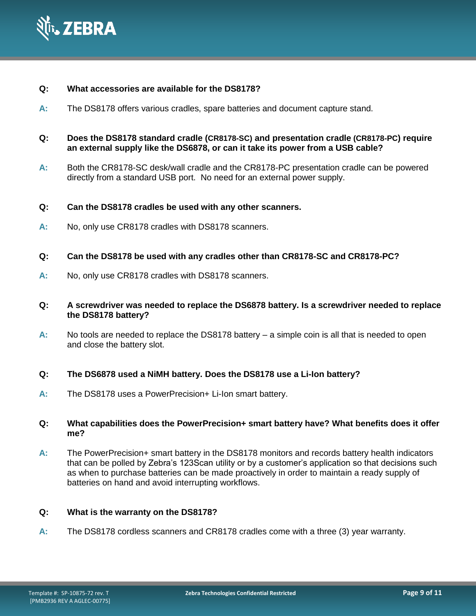

- **Q: What accessories are available for the DS8178?**
- **A:** The DS8178 offers various cradles, spare batteries and document capture stand.
- **Q: Does the DS8178 standard cradle (CR8178-SC) and presentation cradle (CR8178-PC) require an external supply like the DS6878, or can it take its power from a USB cable?**
- **A:** Both the CR8178-SC desk/wall cradle and the CR8178-PC presentation cradle can be powered directly from a standard USB port. No need for an external power supply.

### **Q: Can the DS8178 cradles be used with any other scanners.**

- **A:** No, only use CR8178 cradles with DS8178 scanners.
- **Q: Can the DS8178 be used with any cradles other than CR8178-SC and CR8178-PC?**
- **A:** No, only use CR8178 cradles with DS8178 scanners.
- **Q: A screwdriver was needed to replace the DS6878 battery. Is a screwdriver needed to replace the DS8178 battery?**
- **A:** No tools are needed to replace the DS8178 battery a simple coin is all that is needed to open and close the battery slot.

### **Q: The DS6878 used a NiMH battery. Does the DS8178 use a Li-Ion battery?**

**A:** The DS8178 uses a PowerPrecision+ Li-Ion smart battery.

#### **Q: What capabilities does the PowerPrecision+ smart battery have? What benefits does it offer me?**

**A:** The PowerPrecision+ smart battery in the DS8178 monitors and records battery health indicators that can be polled by Zebra's 123Scan utility or by a customer's application so that decisions such as when to purchase batteries can be made proactively in order to maintain a ready supply of batteries on hand and avoid interrupting workflows.

#### **Q: What is the warranty on the DS8178?**

**A:** The DS8178 cordless scanners and CR8178 cradles come with a three (3) year warranty.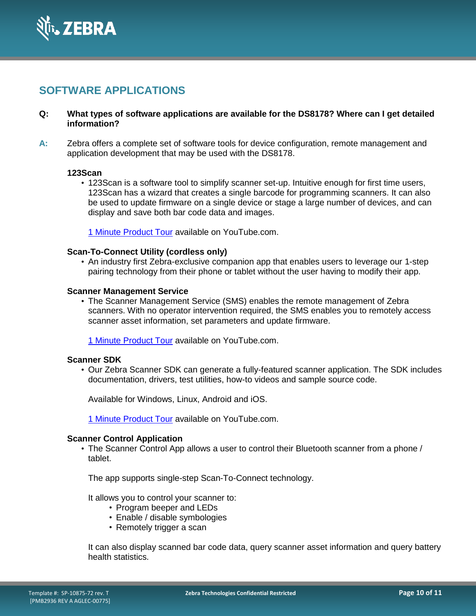

# **SOFTWARE APPLICATIONS**

### **Q: What types of software applications are available for the DS8178? Where can I get detailed information?**

**A:** Zebra offers a complete set of software tools for device configuration, remote management and application development that may be used with the DS8178.

#### **123Scan**

• 123Scan is a software tool to simplify scanner set-up. Intuitive enough for first time users, 123Scan has a wizard that creates a single barcode for programming scanners. It can also be used to update firmware on a single device or stage a large number of devices, and can display and save both bar code data and images.

[1 Minute Product Tour](https://www.youtube.com/watch?v=T_cO3iWNAwU&index=7&list=PLrcZVTwQp0ldy1Is19U0jd9G8k9E_1fZG) available on YouTube.com.

#### **Scan-To-Connect Utility (cordless only)**

• An industry first Zebra-exclusive companion app that enables users to leverage our 1-step pairing technology from their phone or tablet without the user having to modify their app.

#### **Scanner Management Service**

• The Scanner Management Service (SMS) enables the remote management of Zebra scanners. With no operator intervention required, the SMS enables you to remotely access scanner asset information, set parameters and update firmware.

[1 Minute Product Tour](https://www.youtube.com/watch?v=Hcq2tcKKlEk&list=PLrcZVTwQp0ldy1Is19U0jd9G8k9E_1fZG&index=5) available on YouTube.com.

#### **Scanner SDK**

• Our Zebra Scanner SDK can generate a fully-featured scanner application. The SDK includes documentation, drivers, test utilities, how-to videos and sample source code.

Available for Windows, Linux, Android and iOS.

[1 Minute Product Tour](https://www.youtube.com/watch?v=nv0M01_nPfU&index=6&list=PLrcZVTwQp0ldy1Is19U0jd9G8k9E_1fZG) available on YouTube.com.

#### **Scanner Control Application**

• The Scanner Control App allows a user to control their Bluetooth scanner from a phone / tablet.

The app supports single-step Scan-To-Connect technology.

It allows you to control your scanner to:

- Program beeper and LEDs
- Enable / disable symbologies
- Remotely trigger a scan

It can also display scanned bar code data, query scanner asset information and query battery health statistics.